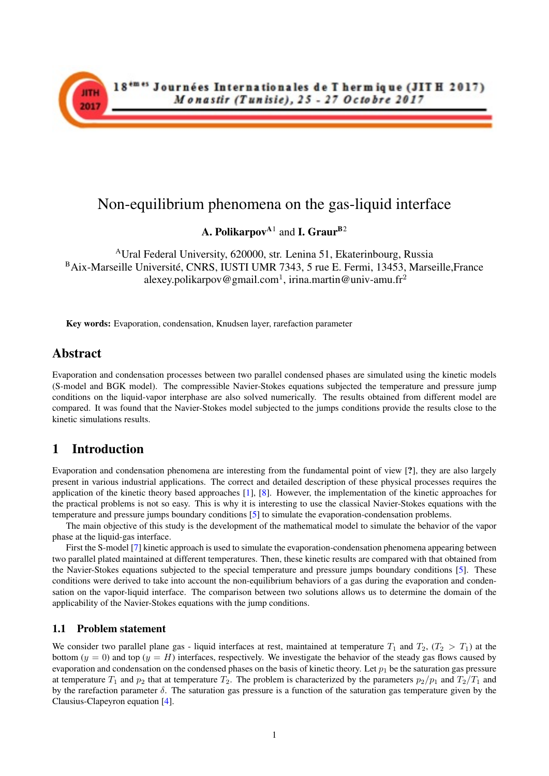

# Non-equilibrium phenomena on the gas-liquid interface

A. Polikarpov<sup>A1</sup> and I. Graur<sup>B2</sup>

<sup>A</sup>Ural Federal University, 620000, str. Lenina 51, Ekaterinbourg, Russia <sup>B</sup>Aix-Marseille Université, CNRS, IUSTI UMR 7343, 5 rue E. Fermi, 13453, Marseille,France alexey.polikarpov@gmail.com<sup>1</sup>, irina.martin@univ-amu.fr<sup>2</sup>

Key words: Evaporation, condensation, Knudsen layer, rarefaction parameter

### Abstract

Evaporation and condensation processes between two parallel condensed phases are simulated using the kinetic models (S-model and BGK model). The compressible Navier-Stokes equations subjected the temperature and pressure jump conditions on the liquid-vapor interphase are also solved numerically. The results obtained from different model are compared. It was found that the Navier-Stokes model subjected to the jumps conditions provide the results close to the kinetic simulations results.

## 1 Introduction

Evaporation and condensation phenomena are interesting from the fundamental point of view [?], they are also largely present in various industrial applications. The correct and detailed description of these physical processes requires the application of the kinetic theory based approaches [\[1\]](#page-2-0), [\[8\]](#page-2-1). However, the implementation of the kinetic approaches for the practical problems is not so easy. This is why it is interesting to use the classical Navier-Stokes equations with the temperature and pressure jumps boundary conditions [\[5\]](#page-2-2) to simulate the evaporation-condensation problems.

The main objective of this study is the development of the mathematical model to simulate the behavior of the vapor phase at the liquid-gas interface.

First the S-model [\[7\]](#page-2-3) kinetic approach is used to simulate the evaporation-condensation phenomena appearing between two parallel plated maintained at different temperatures. Then, these kinetic results are compared with that obtained from the Navier-Stokes equations subjected to the special temperature and pressure jumps boundary conditions [\[5\]](#page-2-2). These conditions were derived to take into account the non-equilibrium behaviors of a gas during the evaporation and condensation on the vapor-liquid interface. The comparison between two solutions allows us to determine the domain of the applicability of the Navier-Stokes equations with the jump conditions.

#### 1.1 Problem statement

We consider two parallel plane gas - liquid interfaces at rest, maintained at temperature  $T_1$  and  $T_2$ ,  $(T_2 > T_1)$  at the bottom  $(y = 0)$  and top  $(y = H)$  interfaces, respectively. We investigate the behavior of the steady gas flows caused by evaporation and condensation on the condensed phases on the basis of kinetic theory. Let  $p_1$  be the saturation gas pressure at temperature  $T_1$  and  $p_2$  that at temperature  $T_2$ . The problem is characterized by the parameters  $p_2/p_1$  and  $T_2/T_1$  and by the rarefaction parameter  $\delta$ . The saturation gas pressure is a function of the saturation gas temperature given by the Clausius-Clapeyron equation [\[4\]](#page-2-4).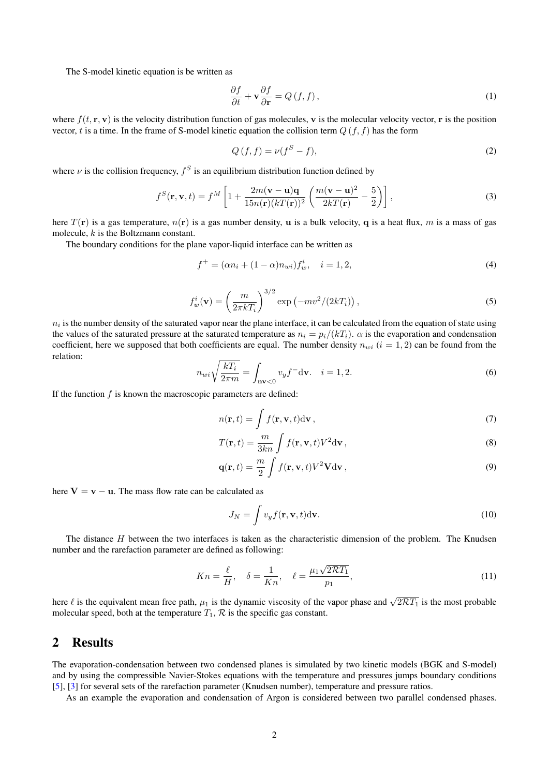The S-model kinetic equation is be written as

$$
\frac{\partial f}{\partial t} + \mathbf{v} \frac{\partial f}{\partial \mathbf{r}} = Q(f, f), \tag{1}
$$

where  $f(t, \mathbf{r}, \mathbf{v})$  is the velocity distribution function of gas molecules, v is the molecular velocity vector, r is the position vector, t is a time. In the frame of S-model kinetic equation the collision term  $Q(f, f)$  has the form

$$
Q(f, f) = \nu(f^S - f),\tag{2}
$$

where  $\nu$  is the collision frequency,  $f^S$  is an equilibrium distribution function defined by

$$
f^{S}(\mathbf{r}, \mathbf{v}, t) = f^{M} \left[ 1 + \frac{2m(\mathbf{v} - \mathbf{u})\mathbf{q}}{15n(\mathbf{r})(kT(\mathbf{r}))^{2}} \left( \frac{m(\mathbf{v} - \mathbf{u})^{2}}{2kT(\mathbf{r})} - \frac{5}{2} \right) \right],
$$
\n(3)

here  $T(\mathbf{r})$  is a gas temperature,  $n(\mathbf{r})$  is a gas number density, **u** is a bulk velocity, **q** is a heat flux, *m* is a mass of gas molecule, k is the Boltzmann constant.

The boundary conditions for the plane vapor-liquid interface can be written as

$$
f^{+} = (\alpha n_{i} + (1 - \alpha)n_{wi})f_{w}^{i}, \quad i = 1, 2,
$$
\n(4)

$$
f_w^i(\mathbf{v}) = \left(\frac{m}{2\pi kT_i}\right)^{3/2} \exp\left(-mv^2/(2kT_i)\right),\tag{5}
$$

 $n_i$  is the number density of the saturated vapor near the plane interface, it can be calculated from the equation of state using the values of the saturated pressure at the saturated temperature as  $n_i = p_i/(kT_i)$ .  $\alpha$  is the evaporation and condensation coefficient, here we supposed that both coefficients are equal. The number density  $n_{wi}$  ( $i = 1, 2$ ) can be found from the relation:

$$
n_{wi}\sqrt{\frac{kT_i}{2\pi m}} = \int_{\mathbf{n}\mathbf{v}<0} v_y f^- d\mathbf{v}.
$$
  $i = 1, 2.$  (6)

If the function  $f$  is known the macroscopic parameters are defined:

$$
n(\mathbf{r},t) = \int f(\mathbf{r}, \mathbf{v},t) \mathrm{d}\mathbf{v},\tag{7}
$$

$$
T(\mathbf{r},t) = \frac{m}{3kn} \int f(\mathbf{r}, \mathbf{v},t) V^2 d\mathbf{v},
$$
\n(8)

$$
\mathbf{q}(\mathbf{r},t) = \frac{m}{2} \int f(\mathbf{r}, \mathbf{v},t) V^2 \mathbf{V} d\mathbf{v},\tag{9}
$$

here  $V = v - u$ . The mass flow rate can be calculated as

$$
J_N = \int v_y f(\mathbf{r}, \mathbf{v}, t) \, \mathrm{d}\mathbf{v}.\tag{10}
$$

The distance H between the two interfaces is taken as the characteristic dimension of the problem. The Knudsen number and the rarefaction parameter are defined as following:

$$
Kn = \frac{\ell}{H}, \quad \delta = \frac{1}{Kn}, \quad \ell = \frac{\mu_1 \sqrt{2\mathcal{R}T_1}}{p_1},\tag{11}
$$

here  $\ell$  is the equivalent mean free path,  $\mu_1$  is the dynamic viscosity of the vapor phase and  $\sqrt{2\mathcal{R}T_1}$  is the most probable molecular speed, both at the temperature  $T_1$ ,  $\mathcal R$  is the specific gas constant.

### 2 Results

The evaporation-condensation between two condensed planes is simulated by two kinetic models (BGK and S-model) and by using the compressible Navier-Stokes equations with the temperature and pressures jumps boundary conditions [\[5\]](#page-2-2), [\[3\]](#page-2-5) for several sets of the rarefaction parameter (Knudsen number), temperature and pressure ratios.

As an example the evaporation and condensation of Argon is considered between two parallel condensed phases.